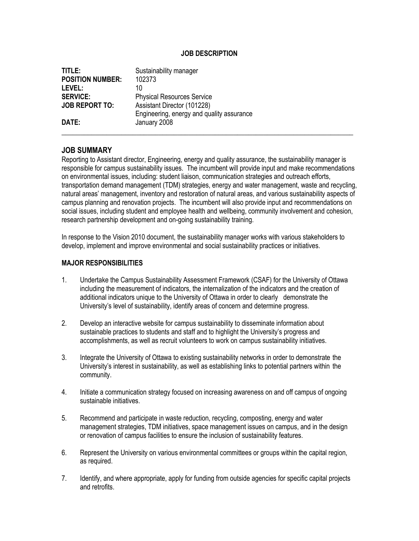## **JOB DESCRIPTION**

| TITLE:                  | Sustainability manager                    |
|-------------------------|-------------------------------------------|
| <b>POSITION NUMBER:</b> | 102373                                    |
| LEVEL:                  | 10                                        |
| <b>SERVICE:</b>         | <b>Physical Resources Service</b>         |
| <b>JOB REPORT TO:</b>   | Assistant Director (101228)               |
|                         | Engineering, energy and quality assurance |
| DATE:                   | January 2008                              |
|                         |                                           |

## **JOB SUMMARY**

Reporting to Assistant director, Engineering, energy and quality assurance, the sustainability manager is responsible for campus sustainability issues. The incumbent will provide input and make recommendations on environmental issues, including: student liaison, communication strategies and outreach efforts, transportation demand management (TDM) strategies, energy and water management, waste and recycling, natural areas' management, inventory and restoration of natural areas, and various sustainability aspects of campus planning and renovation projects. The incumbent will also provide input and recommendations on social issues, including student and employee health and wellbeing, community involvement and cohesion, research partnership development and on-going sustainability training.

In response to the Vision 2010 document, the sustainability manager works with various stakeholders to develop, implement and improve environmental and social sustainability practices or initiatives.

#### **MAJOR RESPONSIBILITIES**

- 1. Undertake the Campus Sustainability Assessment Framework (CSAF) for the University of Ottawa including the measurement of indicators, the internalization of the indicators and the creation of additional indicators unique to the University of Ottawa in order to clearly demonstrate the University's level of sustainability, identify areas of concern and determine progress.
- 2. Develop an interactive website for campus sustainability to disseminate information about sustainable practices to students and staff and to highlight the University's progress and accomplishments, as well as recruit volunteers to work on campus sustainability initiatives.
- 3. Integrate the University of Ottawa to existing sustainability networks in order to demonstrate the University's interest in sustainability, as well as establishing links to potential partners within the community.
- 4. Initiate a communication strategy focused on increasing awareness on and off campus of ongoing sustainable initiatives.
- 5. Recommend and participate in waste reduction, recycling, composting, energy and water management strategies, TDM initiatives, space management issues on campus, and in the design or renovation of campus facilities to ensure the inclusion of sustainability features.
- 6. Represent the University on various environmental committees or groups within the capital region, as required.
- 7. Identify, and where appropriate, apply for funding from outside agencies for specific capital projects and retrofits.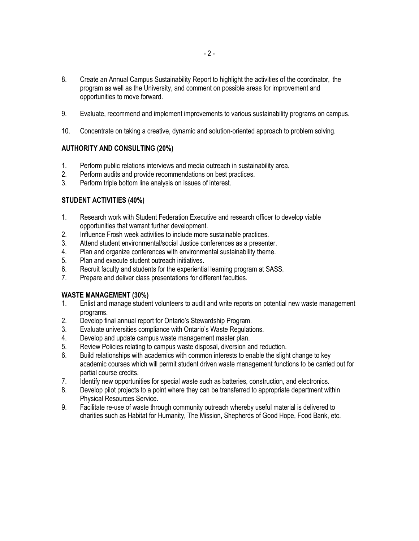- 8. Create an Annual Campus Sustainability Report to highlight the activities of the coordinator, the program as well as the University, and comment on possible areas for improvement and opportunities to move forward.
- 9. Evaluate, recommend and implement improvements to various sustainability programs on campus.
- 10. Concentrate on taking a creative, dynamic and solution-oriented approach to problem solving.

## **AUTHORITY AND CONSULTING (20%)**

- 1. Perform public relations interviews and media outreach in sustainability area.
- 2. Perform audits and provide recommendations on best practices.
- 3. Perform triple bottom line analysis on issues of interest.

## **STUDENT ACTIVITIES (40%)**

- 1. Research work with Student Federation Executive and research officer to develop viable opportunities that warrant further development.
- 2. Influence Frosh week activities to include more sustainable practices.
- 3. Attend student environmental/social Justice conferences as a presenter.
- 4. Plan and organize conferences with environmental sustainability theme.
- 5. Plan and execute student outreach initiatives.
- 6. Recruit faculty and students for the experiential learning program at SASS.
- 7. Prepare and deliver class presentations for different faculties.

## **WASTE MANAGEMENT (30%)**

- 1. Enlist and manage student volunteers to audit and write reports on potential new waste management programs.
- 2. Develop final annual report for Ontario's Stewardship Program.
- 3. Evaluate universities compliance with Ontario's Waste Regulations.
- 4. Develop and update campus waste management master plan.
- 5. Review Policies relating to campus waste disposal, diversion and reduction.
- 6. Build relationships with academics with common interests to enable the slight change to key academic courses which will permit student driven waste management functions to be carried out for partial course credits.
- 7. Identify new opportunities for special waste such as batteries, construction, and electronics.
- 8. Develop pilot projects to a point where they can be transferred to appropriate department within Physical Resources Service.
- 9. Facilitate re-use of waste through community outreach whereby useful material is delivered to charities such as Habitat for Humanity, The Mission, Shepherds of Good Hope, Food Bank, etc.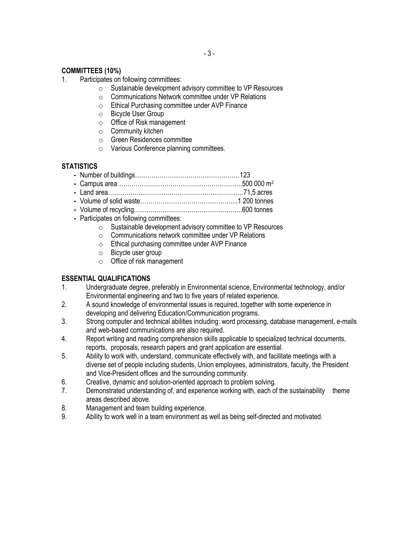## **COMMITTEES (10%)**

- 1. Participates on following committees:
	- o Sustainable development advisory committee to VP Resources
	- o Communications Network committee under VP Relations
	- o Ethical Purchasing committee under AVP Finance
	- o Bicycle User Group
	- o Office of Risk management
	- o Community kitchen
	- o Green Residences committee
	- o Various Conference planning committees.

## **STATISTICS**

|--|--|--|

- **-** Campus area…………………………………………………….500 000 m<sup>2</sup>
- **-** Land area…………………………………………………………71,5 acres
- **-** Volume of solid waste………………………………………...1 200 tonnes
- **-** Volume of recycling……………………………………………..600 tonnes
- **-** Participates on following committees:
	- o Sustainable development advisory committee to VP Resources
	- o Communications network committee under VP Relations
	- o Ethical purchasing committee under AVP Finance
	- o Bicycle user group
	- o Office of risk management

## **ESSENTIAL QUALIFICATIONS**

- 1. Undergraduate degree, preferably in Environmental science, Environmental technology, and/or Environmental engineering and two to five years of related experience.
- 2. A sound knowledge of environmental issues is required, together with some experience in developing and delivering Education/Communication programs.
- 3. Strong computer and technical abilities including: word processing, database management, e-mails and web-based communications are also required.
- 4. Report writing and reading comprehension skills applicable to specialized technical documents, reports, proposals, research papers and grant application are essential.
- 5. Ability to work with, understand, communicate effectively with, and facilitate meetings with a diverse set of people including students, Union employees, administrators, faculty, the President and Vice-President offices and the surrounding community.
- 6. Creative, dynamic and solution-oriented approach to problem solving.
- 7. Demonstrated understanding of, and experience working with, each of the sustainability theme areas described above.
- 8. Management and team building experience.
- 9. Ability to work well in a team environment as well as being self-directed and motivated.